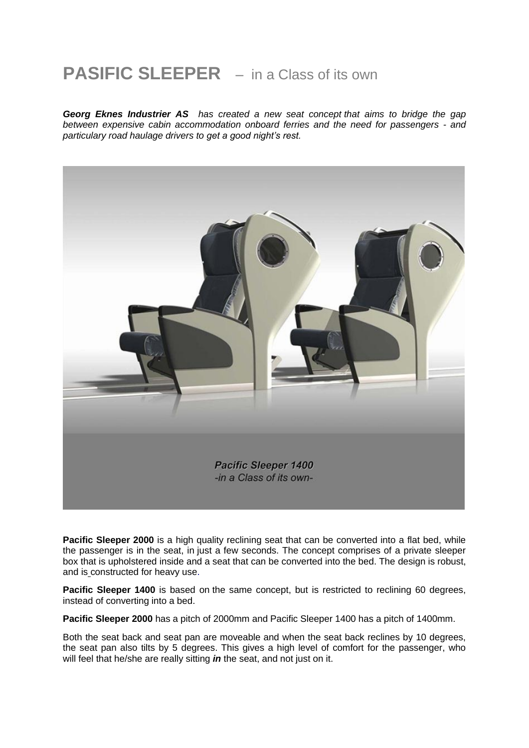## **PASIFIC SLEEPER** – in a Class of its own

*Georg Eknes Industrier AS has created a new seat concept that aims to bridge the gap between expensive cabin accommodation onboard ferries and the need for passengers - and particulary road haulage drivers to get a good night's rest.*



**Pacific Sleeper 2000** is a high quality reclining seat that can be converted into a flat bed, while the passenger is in the seat, in just a few seconds. The concept comprises of a private sleeper box that is upholstered inside and a seat that can be converted into the bed. The design is robust, and is constructed for heavy use.

**Pacific Sleeper 1400** is based on the same concept, but is restricted to reclining 60 degrees, instead of converting into a bed.

**Pacific Sleeper 2000** has a pitch of 2000mm and Pacific Sleeper 1400 has a pitch of 1400mm.

Both the seat back and seat pan are moveable and when the seat back reclines by 10 degrees, the seat pan also tilts by 5 degrees. This gives a high level of comfort for the passenger, who will feel that he/she are really sitting *in* the seat, and not just on it.